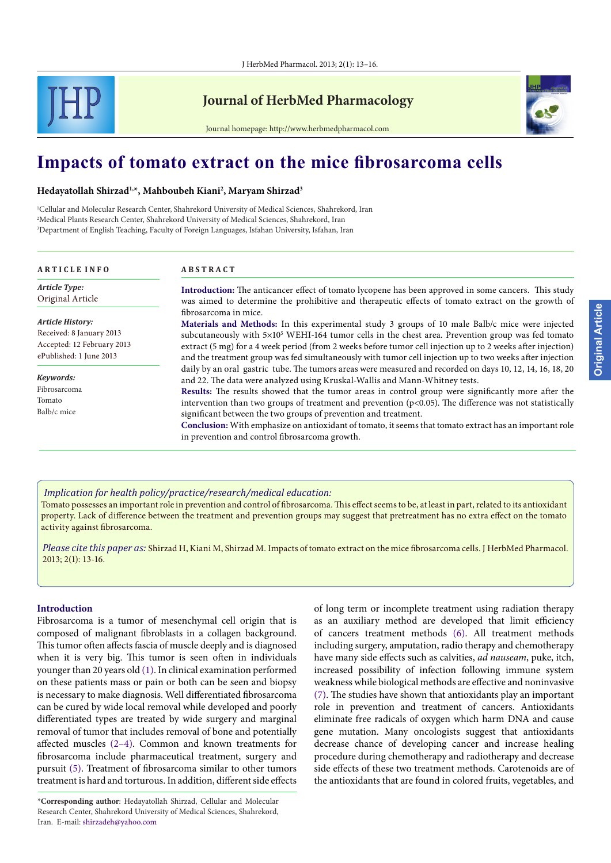

# **Journal of HerbMed Pharmacology**



Journal homepage: http://www.herbmedpharmacol.com

# **Impacts of tomato extract on the mice fibrosarcoma cells**

#### **Hedayatollah Shirzad1,\*, Mahboubeh Kiani2 , Maryam Shirzad3**

1 Cellular and Molecular Research Center, Shahrekord University of Medical Sciences, Shahrekord, Iran 2 Medical Plants Research Center, Shahrekord University of Medical Sciences, Shahrekord, Iran 3 Department of English Teaching, Faculty of Foreign Languages, Isfahan University, Isfahan, Iran

| <b>ARTICLE INFO</b>                                                                                          | <b>ABSTRACT</b>                                                                                                                                                                                                                                                                                                                                                                                                                                                                                                                                                                                                                                                                                                                                                                                                                                                                  |
|--------------------------------------------------------------------------------------------------------------|----------------------------------------------------------------------------------------------------------------------------------------------------------------------------------------------------------------------------------------------------------------------------------------------------------------------------------------------------------------------------------------------------------------------------------------------------------------------------------------------------------------------------------------------------------------------------------------------------------------------------------------------------------------------------------------------------------------------------------------------------------------------------------------------------------------------------------------------------------------------------------|
| <b>Article Type:</b><br>Original Article                                                                     | <b>Introduction:</b> The anticancer effect of tomato lycopene has been approved in some cancers. This study<br>was aimed to determine the prohibitive and therapeutic effects of tomato extract on the growth of<br>fibrosarcoma in mice.<br>Materials and Methods: In this experimental study 3 groups of 10 male Balb/c mice were injected<br>subcutaneously with $5\times10^5$ WEHI-164 tumor cells in the chest area. Prevention group was fed tomato<br>extract (5 mg) for a 4 week period (from 2 weeks before tumor cell injection up to 2 weeks after injection)<br>and the treatment group was fed simultaneously with tumor cell injection up to two weeks after injection<br>daily by an oral gastric tube. The tumors areas were measured and recorded on days 10, 12, 14, 16, 18, 20<br>and 22. The data were analyzed using Kruskal-Wallis and Mann-Whitney tests. |
| <b>Article History:</b><br>Received: 8 January 2013<br>Accepted: 12 February 2013<br>ePublished: 1 June 2013 |                                                                                                                                                                                                                                                                                                                                                                                                                                                                                                                                                                                                                                                                                                                                                                                                                                                                                  |
| Keywords:<br>Fibrosarcoma                                                                                    |                                                                                                                                                                                                                                                                                                                                                                                                                                                                                                                                                                                                                                                                                                                                                                                                                                                                                  |
| Tomato<br>Balb/c mice                                                                                        | Results: The results showed that the tumor areas in control group were significantly more after the<br>intervention than two groups of treatment and prevention ( $p<0.05$ ). The difference was not statistically<br>significant between the two groups of prevention and treatment.                                                                                                                                                                                                                                                                                                                                                                                                                                                                                                                                                                                            |
|                                                                                                              | Conclusion: With emphasize on antioxidant of tomato, it seems that tomato extract has an important role<br>in prevention and control fibrosarcoma growth.                                                                                                                                                                                                                                                                                                                                                                                                                                                                                                                                                                                                                                                                                                                        |

*Implication for health policy/practice/research/medical education:*

Tomato possesses an important role in prevention and control of fibrosarcoma. This effect seems to be, at least in part, related to its antioxidant property. Lack of difference between the treatment and prevention groups may suggest that pretreatment has no extra effect on the tomato activity against fibrosarcoma.

*Please cite this paper as:* Shirzad H, Kiani M, Shirzad M. Impacts of tomato extract on the mice fibrosarcoma cells. J HerbMed Pharmacol. 2013; 2(1): 13-16.

#### **Introduction**

Fibrosarcoma is a tumor of mesenchymal cell origin that is composed of malignant fibroblasts in a collagen background. This tumor often affects fascia of muscle deeply and is diagnosed when it is very big. This tumor is seen often in individuals younger than 20 years old ([1](#page-2-0)). In clinical examination performed on these patients mass or pain or both can be seen and biopsy is necessary to make diagnosis. Well differentiated fibrosarcoma can be cured by wide local removal while developed and poorly differentiated types are treated by wide surgery and marginal removal of tumor that includes removal of bone and potentially affected muscles ([2–](#page-2-1)[4\)](#page-2-2). Common and known treatments for fibrosarcoma include pharmaceutical treatment, surgery and pursuit ([5\)](#page-2-3). Treatment of fibrosarcoma similar to other tumors treatment is hard and torturous. In addition, different side effects

of long term or incomplete treatment using radiation therapy as an auxiliary method are developed that limit efficiency of cancers treatment methods ([6\)](#page-2-4). All treatment methods including surgery, amputation, radio therapy and chemotherapy have many side effects such as calvities, *ad nauseam*, puke, itch, increased possibility of infection following immune system weakness while biological methods are effective and noninvasive ([7](#page-2-5)). The studies have shown that antioxidants play an important role in prevention and treatment of cancers. Antioxidants eliminate free radicals of oxygen which harm DNA and cause gene mutation. Many oncologists suggest that antioxidants decrease chance of developing cancer and increase healing procedure during chemotherapy and radiotherapy and decrease side effects of these two treatment methods. Carotenoids are of the antioxidants that are found in colored fruits, vegetables, and

<sup>\*</sup>**Corresponding author**: Hedayatollah Shirzad, Cellular and Molecular Research Center, Shahrekord University of Medical Sciences, Shahrekord, Iran. E-mail: shirzadeh@yahoo.com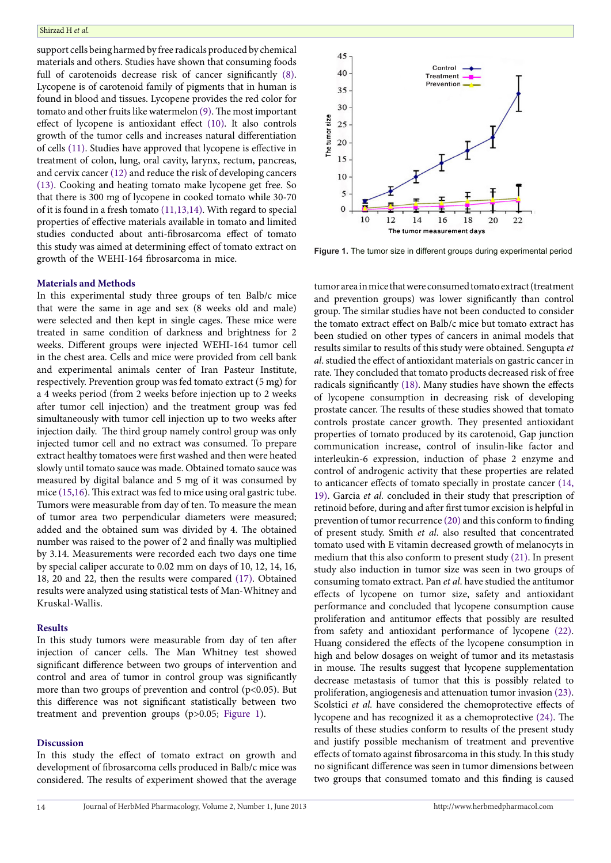support cells being harmed by free radicals produced by chemical materials and others. Studies have shown that consuming foods full of carotenoids decrease risk of cancer significantly ([8](#page-2-6)). Lycopene is of carotenoid family of pigments that in human is found in blood and tissues. Lycopene provides the red color for tomato and other fruits like watermelon ([9\)](#page-2-7). The most important effect of lycopene is antioxidant effect ([10](#page-2-8)). It also controls growth of the tumor cells and increases natural differentiation of cells ([11](#page-2-9)). Studies have approved that lycopene is effective in treatment of colon, lung, oral cavity, larynx, rectum, pancreas, and cervix cancer [\(12\)](#page-2-10) and reduce the risk of developing cancers [\(13\)](#page-2-11). Cooking and heating tomato make lycopene get free. So that there is 300 mg of lycopene in cooked tomato while 30-70 of it is found in a fresh tomato [\(11](#page-2-9)[,13](#page-2-11)[,14\)](#page-2-12). With regard to special properties of effective materials available in tomato and limited studies conducted about anti-fibrosarcoma effect of tomato this study was aimed at determining effect of tomato extract on growth of the WEHI-164 fibrosarcoma in mice.

#### **Materials and Methods**

In this experimental study three groups of ten Balb/c mice that were the same in age and sex (8 weeks old and male) were selected and then kept in single cages. These mice were treated in same condition of darkness and brightness for 2 weeks. Different groups were injected WEHI-164 tumor cell in the chest area. Cells and mice were provided from cell bank and experimental animals center of Iran Pasteur Institute, respectively. Prevention group was fed tomato extract (5 mg) for a 4 weeks period (from 2 weeks before injection up to 2 weeks after tumor cell injection) and the treatment group was fed simultaneously with tumor cell injection up to two weeks after injection daily. The third group namely control group was only injected tumor cell and no extract was consumed. To prepare extract healthy tomatoes were first washed and then were heated slowly until tomato sauce was made. Obtained tomato sauce was measured by digital balance and 5 mg of it was consumed by mice ([15](#page-2-13)[,16\)](#page-2-14). This extract was fed to mice using oral gastric tube. Tumors were measurable from day of ten. To measure the mean of tumor area two perpendicular diameters were measured; added and the obtained sum was divided by 4. The obtained number was raised to the power of 2 and finally was multiplied by 3.14. Measurements were recorded each two days one time by special caliper accurate to 0.02 mm on days of 10, 12, 14, 16, 18, 20 and 22, then the results were compared ([17](#page-2-15)). Obtained results were analyzed using statistical tests of Man-Whitney and Kruskal-Wallis.

#### **Results**

In this study tumors were measurable from day of ten after injection of cancer cells. The Man Whitney test showed significant difference between two groups of intervention and control and area of tumor in control group was significantly more than two groups of prevention and control (p<0.05). But this difference was not significant statistically between two treatment and prevention groups (p>0.05; [Figure 1](#page-1-0)).

#### **Discussion**

In this study the effect of tomato extract on growth and development of fibrosarcoma cells produced in Balb/c mice was considered. The results of experiment showed that the average

<span id="page-1-0"></span>

**Figure 1.** The tumor size in different groups during experimental period

tumor area in mice that were consumed tomato extract (treatment and prevention groups) was lower significantly than control group. The similar studies have not been conducted to consider the tomato extract effect on Balb/c mice but tomato extract has been studied on other types of cancers in animal models that results similar to results of this study were obtained. Sengupta *et al*. studied the effect of antioxidant materials on gastric cancer in rate. They concluded that tomato products decreased risk of free radicals significantly ([18](#page-2-16)). Many studies have shown the effects of lycopene consumption in decreasing risk of developing prostate cancer. The results of these studies showed that tomato controls prostate cancer growth. They presented antioxidant properties of tomato produced by its carotenoid, Gap junction communication increase, control of insulin-like factor and interleukin-6 expression, induction of phase 2 enzyme and control of androgenic activity that these properties are related to anticancer effects of tomato specially in prostate cancer [\(14,](#page-2-12) [19\)](#page-2-17). Garcia *et al.* concluded in their study that prescription of retinoid before, during and after first tumor excision is helpful in prevention of tumor recurrence (20) and this conform to finding of present study. Smith *et al*. also resulted that concentrated tomato used with E vitamin decreased growth of melanocyts in medium that this also conform to present study [\(21\)](#page-3-0). In present study also induction in tumor size was seen in two groups of consuming tomato extract. Pan *et al*. have studied the antitumor effects of lycopene on tumor size, safety and antioxidant performance and concluded that lycopene consumption cause proliferation and antitumor effects that possibly are resulted from safety and antioxidant performance of lycopene ([22\)](#page-3-1). Huang considered the effects of the lycopene consumption in high and below dosages on weight of tumor and its metastasis in mouse. The results suggest that lycopene supplementation decrease metastasis of tumor that this is possibly related to proliferation, angiogenesis and attenuation tumor invasion ([23\)](#page-3-2). Scolstici *et al.* have considered the chemoprotective effects of lycopene and has recognized it as a chemoprotective [\(24\)](#page-3-3). The results of these studies conform to results of the present study and justify possible mechanism of treatment and preventive effects of tomato against fibrosarcoma in this study. In this study no significant difference was seen in tumor dimensions between two groups that consumed tomato and this finding is caused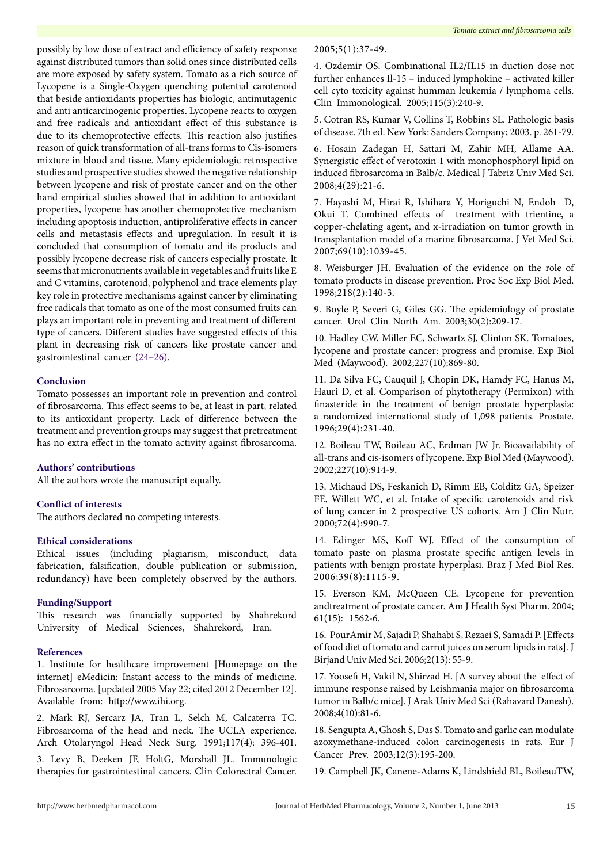possibly by low dose of extract and efficiency of safety response against distributed tumors than solid ones since distributed cells are more exposed by safety system. Tomato as a rich source of Lycopene is a Single-Oxygen quenching potential carotenoid that beside antioxidants properties has biologic, antimutagenic and anti anticarcinogenic properties. Lycopene reacts to oxygen and free radicals and antioxidant effect of this substance is due to its chemoprotective effects. This reaction also justifies reason of quick transformation of all-trans forms to Cis-isomers mixture in blood and tissue. Many epidemiologic retrospective studies and prospective studies showed the negative relationship between lycopene and risk of prostate cancer and on the other hand empirical studies showed that in addition to antioxidant properties, lycopene has another chemoprotective mechanism including apoptosis induction, antiproliferative effects in cancer cells and metastasis effects and upregulation. In result it is concluded that consumption of tomato and its products and possibly lycopene decrease risk of cancers especially prostate. It seems that micronutrients available in vegetables and fruits like E and C vitamins, carotenoid, polyphenol and trace elements play key role in protective mechanisms against cancer by eliminating free radicals that tomato as one of the most consumed fruits can plays an important role in preventing and treatment of different type of cancers. Different studies have suggested effects of this plant in decreasing risk of cancers like prostate cancer and gastrointestinal cancer [\(24–](#page-3-3)[26\)](#page-3-4).

# **Conclusion**

Tomato possesses an important role in prevention and control of fibrosarcoma. This effect seems to be, at least in part, related to its antioxidant property. Lack of difference between the treatment and prevention groups may suggest that pretreatment has no extra effect in the tomato activity against fibrosarcoma.

# **Authors' contributions**

All the authors wrote the manuscript equally.

# **Conflict of interests**

The authors declared no competing interests.

# **Ethical considerations**

Ethical issues (including plagiarism, misconduct, data fabrication, falsification, double publication or submission, redundancy) have been completely observed by the authors.

# **Funding/Support**

This research was financially supported by Shahrekord University of Medical Sciences, Shahrekord, Iran.

# **References**

<span id="page-2-0"></span>1. Institute for healthcare improvement [Homepage on the internet] eMedicin: Instant access to the minds of medicine. Fibrosarcoma. [updated 2005 May 22; cited 2012 December 12]. Available from: http://www.ihi.org.

<span id="page-2-1"></span>2. Mark RJ, Sercarz JA, Tran L, Selch M, Calcaterra TC. Fibrosarcoma of the head and neck. The UCLA experience. Arch Otolaryngol Head Neck Surg. 1991;117(4): 396-401.

3. Levy B, Deeken JF, HoltG, Morshall JL. Immunologic therapies for gastrointestinal cancers. Clin Colorectral Cancer. 2005;5(1):37-49.

<span id="page-2-2"></span>4. Ozdemir OS. Combinational IL2/IL15 in duction dose not further enhances Il-15 – induced lymphokine – activated killer cell cyto toxicity against humman leukemia / lymphoma cells. Clin Immonological. 2005;115(3):240-9.

<span id="page-2-3"></span>5. Cotran RS, Kumar V, Collins T, Robbins SL. Pathologic basis of disease. 7th ed. New York: Sanders Company; 2003. p. 261-79.

<span id="page-2-4"></span>6. Hosain Zadegan H, Sattari M, Zahir MH, Allame AA. Synergistic effect of verotoxin 1 with monophosphoryl lipid on induced fibrosarcoma in Balb/c. Medical J Tabriz Univ Med Sci. 2008;4(29):21-6.

<span id="page-2-5"></span>7. Hayashi M, Hirai R, Ishihara Y, Horiguchi N, Endoh D, Okui T. Combined effects of treatment with trientine, a copper-chelating agent, and x-irradiation on tumor growth in transplantation model of a marine fibrosarcoma. J Vet Med Sci. 2007;69(10):1039-45.

<span id="page-2-6"></span>8. Weisburger JH. Evaluation of the evidence on the role of tomato products in disease prevention. Proc Soc Exp Biol Med. 1998;218(2):140-3.

<span id="page-2-7"></span>9. Boyle P, Severi G, Giles GG. The epidemiology of prostate cancer. Urol Clin North Am. 2003;30(2):209-17.

<span id="page-2-8"></span>10. Hadley CW, Miller EC, Schwartz SJ, Clinton SK. Tomatoes, lycopene and prostate cancer: progress and promise. Exp Biol Med (Maywood). 2002;227(10):869-80.

<span id="page-2-9"></span>11. Da Silva FC, Cauquil J, Chopin DK, Hamdy FC, Hanus M, Hauri D, et al. Comparison of phytotherapy (Permixon) with finasteride in the treatment of benign prostate hyperplasia: a randomized international study of 1,098 patients. Prostate. 1996;29(4):231-40.

<span id="page-2-10"></span>12. Boileau TW, Boileau AC, Erdman JW Jr. Bioavailability of all-trans and cis-isomers of lycopene. Exp Biol Med (Maywood). 2002;227(10):914-9.

<span id="page-2-11"></span>13. Michaud DS, Feskanich D, Rimm EB, Colditz GA, Speizer FE, Willett WC, et al. Intake of specific carotenoids and risk of lung cancer in 2 prospective US cohorts. Am J Clin Nutr. 2000;72(4):990-7.

<span id="page-2-12"></span>14. Edinger MS, Koff WJ. Effect of the consumption of tomato paste on plasma prostate specific antigen levels in patients with benign prostate hyperplasi. Braz J Med Biol Res. 2006;39(8):1115-9.

<span id="page-2-13"></span>15. Everson KM, McQueen CE. Lycopene for prevention andtreatment of prostate cancer. Am J Health Syst Pharm. 2004; 61(15): 1562-6.

<span id="page-2-14"></span>16. PourAmir M, Sajadi P, Shahabi S, Rezaei S, Samadi P. [Effects of food diet of tomato and carrot juices on serum lipids in rats]. J Birjand Univ Med Sci. 2006;2(13): 55-9.

<span id="page-2-15"></span>17. Yoosefi H, Vakil N, Shirzad H. [A survey about the effect of immune response raised by Leishmania major on fibrosarcoma tumor in Balb/c mice]. J Arak Univ Med Sci (Rahavard Danesh). 2008;4(10):81-6.

<span id="page-2-16"></span>18. Sengupta A, Ghosh S, Das S. Tomato and garlic can modulate azoxymethane-induced colon carcinogenesis in rats. Eur J Cancer Prev. 2003;12(3):195-200.

<span id="page-2-17"></span>19. Campbell JK, Canene-Adams K, Lindshield BL, BoileauTW,